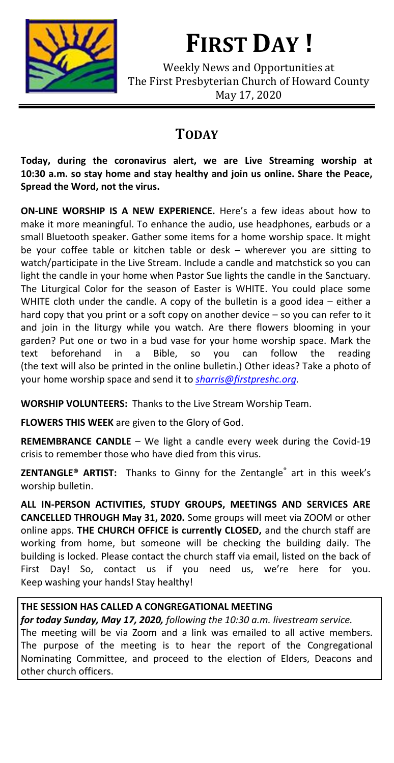

# **FIRST DAY !**

Weekly News and Opportunities at The First Presbyterian Church of Howard County May 17, 2020

# **TODAY**

**Today, during the coronavirus alert, we are Live Streaming worship at 10:30 a.m. so stay home and stay healthy and join us online. Share the Peace, Spread the Word, not the virus.**

**ON-LINE WORSHIP IS A NEW EXPERIENCE.** Here's a few ideas about how to make it more meaningful. To enhance the audio, use headphones, earbuds or a small Bluetooth speaker. Gather some items for a home worship space. It might be your coffee table or kitchen table or desk – wherever you are sitting to watch/participate in the Live Stream. Include a candle and matchstick so you can light the candle in your home when Pastor Sue lights the candle in the Sanctuary. The Liturgical Color for the season of Easter is WHITE. You could place some WHITE cloth under the candle. A copy of the bulletin is a good idea – either a hard copy that you print or a soft copy on another device – so you can refer to it and join in the liturgy while you watch. Are there flowers blooming in your garden? Put one or two in a bud vase for your home worship space. Mark the text beforehand in a Bible, so you can follow the reading (the text will also be printed in the online bulletin.) Other ideas? Take a photo of your home worship space and send it to *[sharris@firstpreshc.org.](mailto:sharris@firstpreshc.org)*

**WORSHIP VOLUNTEERS:** Thanks to the Live Stream Worship Team.

**FLOWERS THIS WEEK** are given to the Glory of God.

**REMEMBRANCE CANDLE** – We light a candle every week during the Covid-19 crisis to remember those who have died from this virus.

**ZENTANGLE® ARTIST:** Thanks to Ginny for the Zentangle® art in this week's worship bulletin.

**ALL IN-PERSON ACTIVITIES, STUDY GROUPS, MEETINGS AND SERVICES ARE CANCELLED THROUGH May 31, 2020.** Some groups will meet via ZOOM or other online apps. **THE CHURCH OFFICE is currently CLOSED,** and the church staff are working from home, but someone will be checking the building daily. The building is locked. Please contact the church staff via email, listed on the back of First Day! So, contact us if you need us, we're here for you. Keep washing your hands! Stay healthy!

## **THE SESSION HAS CALLED A CONGREGATIONAL MEETING**

*for today Sunday, May 17, 2020, following the 10:30 a.m. livestream service.* The meeting will be via Zoom and a link was emailed to all active members. The purpose of the meeting is to hear the report of the Congregational Nominating Committee, and proceed to the election of Elders, Deacons and other church officers.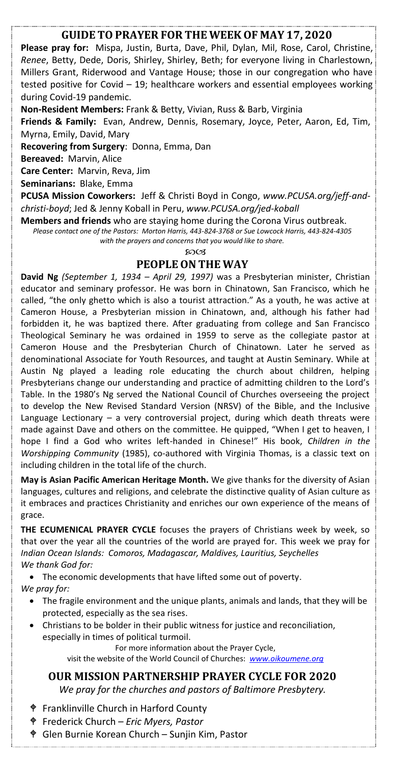## **GUIDE TO PRAYER FOR THE WEEKOF MAY 17, 2020**

**Please pray for:** Mispa, Justin, Burta, Dave, Phil, Dylan, Mil, Rose, Carol, Christine, *Renee*, Betty, Dede, Doris, Shirley, Shirley, Beth; for everyone living in Charlestown, Millers Grant, Riderwood and Vantage House; those in our congregation who have tested positive for Covid – 19; healthcare workers and essential employees working during Covid-19 pandemic.

**Non-Resident Members:** Frank & Betty, Vivian, Russ & Barb, Virginia

**Friends & Family:** Evan, Andrew, Dennis, Rosemary, Joyce, Peter, Aaron, Ed, Tim, Myrna, Emily, David, Mary

**Recovering from Surgery**: Donna, Emma, Dan

**Bereaved:** Marvin, Alice

**Care Center:** Marvin, Reva, Jim

**Seminarians:** Blake, Emma

**PCUSA Mission Coworkers:** Jeff & Christi Boyd in Congo, *www.PCUSA.org/jeff-andchristi-boyd*; Jed & Jenny Koball in Peru, *www.PCUSA.org/jed-koball*

**Members and friends** who are staying home during the Corona Virus outbreak. *Please contact one of the Pastors: Morton Harris, 443-824-3768 or Sue Lowcock Harris, 443-824-4305*

*with the prayers and concerns that you would like to share.*

### **8003 PEOPLEON THE WAY**

**David Ng** *(September 1, 1934 – April 29, 1997)* was a Presbyterian minister, Christian educator and seminary professor. He was born in Chinatown, San Francisco, which he called, "the only ghetto which is also a tourist attraction." As a youth, he was active at Cameron House, a Presbyterian mission in Chinatown, and, although his father had forbidden it, he was baptized there. After graduating from college and San Francisco Theological Seminary he was ordained in 1959 to serve as the collegiate pastor at Cameron House and the Presbyterian Church of Chinatown. Later he served as denominational Associate for Youth Resources, and taught at Austin Seminary. While at Austin Ng played a leading role educating the church about children, helping Presbyterians change our understanding and practice of admitting children to the Lord's Table. In the 1980's Ng served the National Council of Churches overseeing the project to develop the New Revised Standard Version (NRSV) of the Bible, and the Inclusive Language Lectionary – a very controversial project, during which death threats were made against Dave and others on the committee. He quipped, "When I get to heaven, I hope I find a God who writes left-handed in Chinese!" His book, *Children in the Worshipping Community* (1985), co-authored with Virginia Thomas, is a classic text on including children in the total life of the church.

**May is Asian Pacific American Heritage Month.** We give thanks for the diversity of Asian languages, cultures and religions, and celebrate the distinctive quality of Asian culture as it embraces and practices Christianity and enriches our own experience of the means of grace.

THE ECUMENICAL PRAYER CYCLE focuses the prayers of Christians week by week, so that over the year all the countries of the world are prayed for. This week we pray for *Indian Ocean Islands: Comoros, Madagascar, Maldives, Lauritius, Seychelles We thank God for:* 

• The economic developments that have lifted some out of poverty.

*We pray for:*

- The fragile environment and the unique plants, animals and lands, that they will be protected, especially as the sea rises.
- Christians to be bolder in their public witness for justice and reconciliation, especially in times of political turmoil.

For more information about the Prayer Cycle,

visit the website of the World Council of Churches: *[www.oikoumene.org](http://www.oikoumene.org/)*

## **OUR MISSION PARTNERSHIP PRAYER CYCLE FOR 2020**

*We pray for the churches and pastors of Baltimore Presbytery.*

- Franklinville Church in Harford County
- Frederick Church *– Eric Myers, Pastor*
- Glen Burnie Korean Church Sunjin Kim, Pastor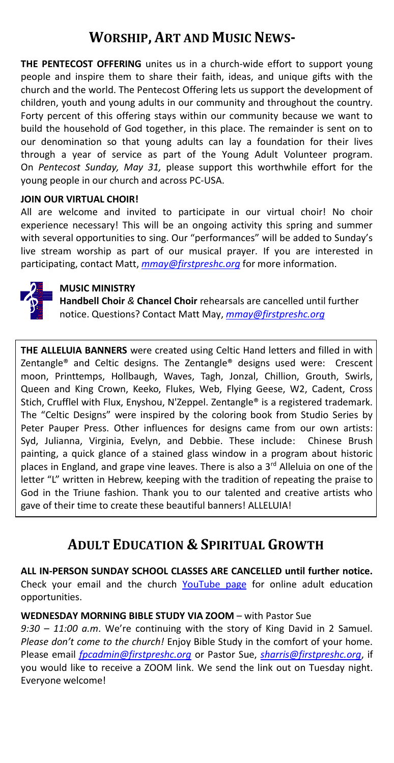# **WORSHIP, ART AND MUSIC NEWS-**

**THE PENTECOST OFFERING** unites us in a church-wide effort to support young people and inspire them to share their faith, ideas, and unique gifts with the church and the world. The Pentecost Offering lets us support the development of children, youth and young adults in our community and throughout the country. Forty percent of this offering stays within our community because we want to build the household of God together, in this place. The remainder is sent on to our denomination so that young adults can lay a foundation for their lives through a year of service as part of the Young Adult Volunteer program. On *Pentecost Sunday, May 31,* please support this worthwhile effort for the young people in our church and across PC-USA.

## **JOIN OUR VIRTUAL CHOIR!**

All are welcome and invited to participate in our virtual choir! No choir experience necessary! This will be an ongoing activity this spring and summer with several opportunities to sing. Our "performances" will be added to Sunday's live stream worship as part of our musical prayer. If you are interested in participating, contact Matt, *[mmay@firstpreshc.org](mailto:mmay@firstpreshc.org)* for more information.



### **MUSIC MINISTRY**

**Handbell Choir** *&* **Chancel Choir** rehearsals are cancelled until further notice. Questions? Contact Matt May, *[mmay@firstpreshc.org](mailto:mmay@firstpreshc.org)*

**THE ALLELUIA BANNERS** were created using Celtic Hand letters and filled in with Zentangle® and Celtic designs. The Zentangle® designs used were: Crescent moon, Printtemps, Hollbaugh, Waves, Tagh, Jonzal, Chillion, Grouth, Swirls, Queen and King Crown, Keeko, Flukes, Web, Flying Geese, W2, Cadent, Cross Stich, Crufflel with Flux, Enyshou, N'Zeppel. Zentangle® is a registered trademark. The "Celtic Designs" were inspired by the coloring book from Studio Series by Peter Pauper Press. Other influences for designs came from our own artists: Syd, Julianna, Virginia, Evelyn, and Debbie. These include: Chinese Brush painting, a quick glance of a stained glass window in a program about historic places in England, and grape vine leaves. There is also a  $3<sup>rd</sup>$  Alleluia on one of the letter "L" written in Hebrew, keeping with the tradition of repeating the praise to God in the Triune fashion. Thank you to our talented and creative artists who gave of their time to create these beautiful banners! ALLELUIA!

## **ADULT EDUCATION & SPIRITUAL GROWTH**

**ALL IN-PERSON SUNDAY SCHOOL CLASSES ARE CANCELLED until further notice.**  Check your email and the church [YouTube page](https://www.youtube.com/channel/UCrlYlBHOeFSZwJMm5HdE_bw/) for online adult education opportunities.

## **WEDNESDAY MORNING BIBLE STUDY VIA ZOOM** – with Pastor Sue

*9:30 – 11:00 a.m*. We're continuing with the story of King David in 2 Samuel. *Please don't come to the church!* Enjoy Bible Study in the comfort of your home. Please email *[fpcadmin@firstpreshc.org](mailto:fpcadmin@firstpreshc.org)* or Pastor Sue, *[sharris@firstpreshc.org](mailto:sharris@firstpreshc.org)*, if you would like to receive a ZOOM link. We send the link out on Tuesday night. Everyone welcome!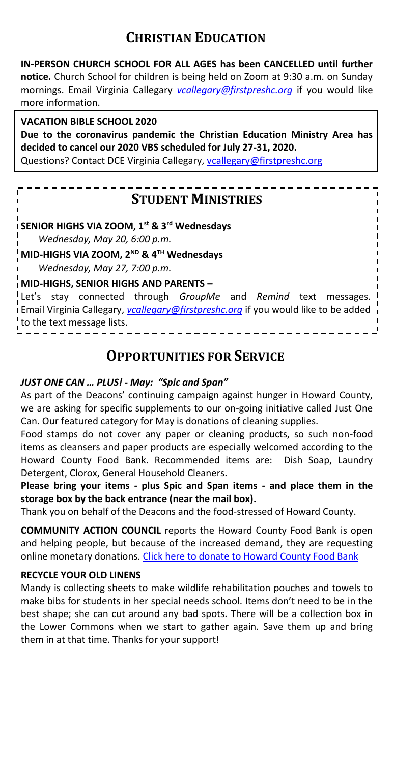## **CHRISTIAN EDUCATION**

**IN-PERSON CHURCH SCHOOL FOR ALL AGES has been CANCELLED until further notice.** Church School for children is being held on Zoom at 9:30 a.m. on Sunday mornings. Email Virginia Callegary *[vcallegary@firstpreshc.org](mailto:vcallegary@firstpreshc.org)* if you would like more information.

## **VACATION BIBLE SCHOOL 2020**

**Due to the coronavirus pandemic the Christian Education Ministry Area has decided to cancel our 2020 VBS scheduled for July 27-31, 2020.**

Questions? Contact DCE Virginia Callegary[, vcallegary@firstpreshc.org](mailto:vcallegary@firstpreshc.org)

# **STUDENT MINISTRIES**

**SENIOR HIGHS VIA ZOOM, 1st & 3rd Wednesdays**

*Wednesday, May 20, 6:00 p.m.* 

**MID-HIGHS VIA ZOOM, 2ND & 4TH Wednesdays** *Wednesday, May 27, 7:00 p.m.* 

**MID-HIGHS, SENIOR HIGHS AND PARENTS –**

Let's stay connected through *GroupMe* and *Remind* text messages. Email Virginia Callegary, *[vcallegary@firstpreshc.org](mailto:vcallegary@firstpreshc.org)* if you would like to be added to the text message lists.

## **OPPORTUNITIES FOR SERVICE**

## *JUST ONE CAN … PLUS! - May: "Spic and Span"*

As part of the Deacons' continuing campaign against hunger in Howard County, we are asking for specific supplements to our on-going initiative called Just One Can. Our featured category for May is donations of cleaning supplies.

Food stamps do not cover any paper or cleaning products, so such non-food items as cleansers and paper products are especially welcomed according to the Howard County Food Bank. Recommended items are: Dish Soap, Laundry Detergent, Clorox, General Household Cleaners.

**Please bring your items - plus Spic and Span items - and place them in the storage box by the back entrance (near the mail box).**

Thank you on behalf of the Deacons and the food-stressed of Howard County.

**COMMUNITY ACTION COUNCIL** reports the Howard County Food Bank is open and helping people, but because of the increased demand, they are requesting online monetary donations. [Click here to donate to Howard County Food Bank](https://www.cac-hc.org/get-involved/donate-2-2/)

## **RECYCLE YOUR OLD LINENS**

Mandy is collecting sheets to make wildlife rehabilitation pouches and towels to make bibs for students in her special needs school. Items don't need to be in the best shape; she can cut around any bad spots. There will be a collection box in the Lower Commons when we start to gather again. Save them up and bring them in at that time. Thanks for your support!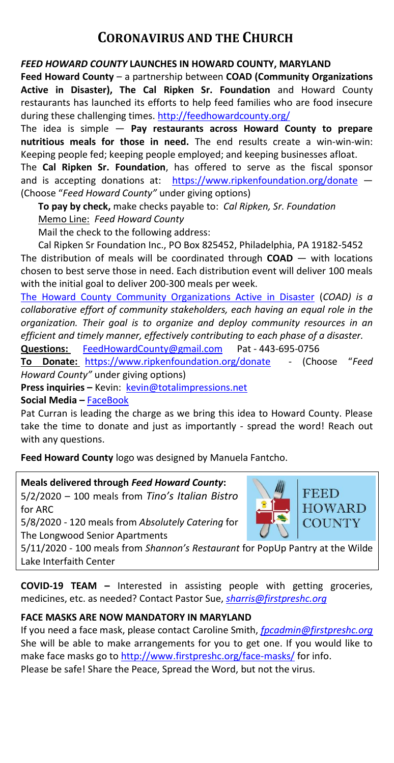## **CORONAVIRUS AND THE CHURCH**

## *FEED HOWARD COUNTY* **LAUNCHES IN HOWARD COUNTY, MARYLAND**

**Feed Howard County** – a partnership between **COAD (Community Organizations Active in Disaster), The Cal Ripken Sr. Foundation** and Howard County restaurants has launched its efforts to help feed families who are food insecure during these challenging times. <http://feedhowardcounty.org/>

The idea is simple — **Pay restaurants across Howard County to prepare nutritious meals for those in need.** The end results create a win-win-win: Keeping people fed; keeping people employed; and keeping businesses afloat.

The **Cal Ripken Sr. Foundation**, has offered to serve as the fiscal sponsor and is accepting donations at: <https://www.ripkenfoundation.org/donate> — (Choose "*Feed Howard County"* under giving options)

**To pay by check,** make checks payable to: *Cal Ripken, Sr. Foundation*

Memo Line: *Feed Howard County*

Mail the check to the following address:

Cal Ripken Sr Foundation Inc., PO Box 825452, Philadelphia, PA 19182-5452 The distribution of meals will be coordinated through **COAD** — with locations chosen to best serve those in need. Each distribution event will deliver 100 meals with the initial goal to deliver 200-300 meals per week.

[The Howard County Community Organizations Active in Disaster](https://www.howardcountymd.gov/Departments/Fire-and-Rescue/Office-Of-Emergency-Management/Howard-County-Community-Organizations-Active-in-Disaster) (*COAD) is a collaborative effort of community stakeholders, each having an equal role in the organization. Their goal is to organize and deploy community resources in an efficient and timely manner, effectively contributing to each phase of a disaster.*

**Questions:** [FeedHowardCounty@gmail.com](mailto:FeedHowardCounty@gmail.com) Pat - 443-695-0756

**To Donate:** <https://www.ripkenfoundation.org/donate>- (Choose "*Feed Howard County"* under giving options)

**Press inquiries –** Kevin: [kevin@totalimpressions.net](mailto:kevin@totalimpressions.net)

**Social Media –** [FaceBook](https://www.facebook.com/Feed-Howard-County-113834226968510/?modal=admin_todo_tour)

Pat Curran is leading the charge as we bring this idea to Howard County. Please take the time to donate and just as importantly - spread the word! Reach out with any questions.

**Feed Howard County** logo was designed by Manuela Fantcho.

## **Meals delivered through** *Feed Howard County***:**

5/2/2020 – 100 meals from *Tino's Italian Bistro* for ARC

5/8/2020 - 120 meals from *Absolutely Catering* for The Longwood Senior Apartments



**FEED HOWARD COUNTY** 

5/11/2020 - 100 meals from *Shannon's Restaurant* for PopUp Pantry at the Wilde Lake Interfaith Center

**COVID-19 TEAM –** Interested in assisting people with getting groceries, medicines, etc. as needed? Contact Pastor Sue, *[sharris@firstpreshc.org](mailto:sharris@firstpreshc.org)*

## **FACE MASKS ARE NOW MANDATORY IN MARYLAND**

If you need a face mask, please contact Caroline Smith, *[fpcadmin@firstpreshc.org](mailto:fpcadmin@firstpreshc.org)* She will be able to make arrangements for you to get one. If you would like to make face masks go to<http://www.firstpreshc.org/face-masks/> for info. Please be safe! Share the Peace, Spread the Word, but not the virus.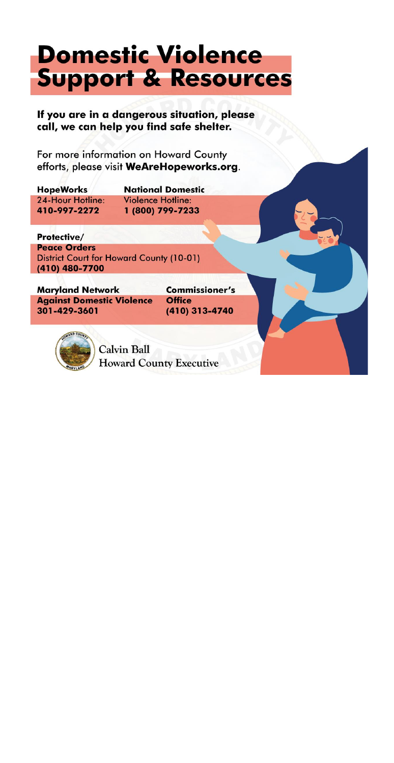# **Domestic Violence Support & Resources**

If you are in a dangerous situation, please call, we can help you find safe shelter.

For more information on Howard County efforts, please visit WeAreHopeworks.org.

**HopeWorks** 24-Hour Hotline: 410-997-2272

**National Domestic Violence Hotline:** 1 (800) 799-7233

Protective/ **Peace Orders District Court for Howard County (10-01)** (410) 480-7700

**Maryland Network Against Domestic Violence** 301-429-3601

**Commissioner's Office** (410) 313-4740



**Calvin Ball Howard County Executive**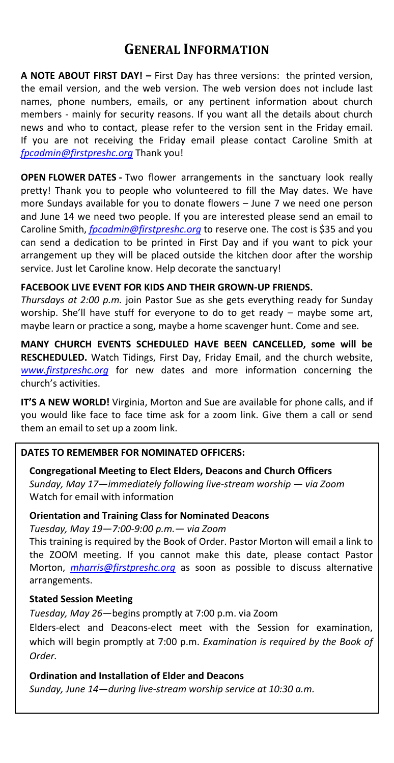## **GENERAL INFORMATION**

**A NOTE ABOUT FIRST DAY! –** First Day has three versions: the printed version, the email version, and the web version. The web version does not include last names, phone numbers, emails, or any pertinent information about church members - mainly for security reasons. If you want all the details about church news and who to contact, please refer to the version sent in the Friday email. If you are not receiving the Friday email please contact Caroline Smith at *[fpcadmin@firstpreshc.org](mailto:fpcadmin@firstpreshc.org)* Thank you!

**OPEN FLOWER DATES -** Two flower arrangements in the sanctuary look really pretty! Thank you to people who volunteered to fill the May dates. We have more Sundays available for you to donate flowers – June 7 we need one person and June 14 we need two people. If you are interested please send an email to Caroline Smith, *[fpcadmin@firstpreshc.org](mailto:fpcadmin@firstpreshc.org)* to reserve one. The cost is \$35 and you can send a dedication to be printed in First Day and if you want to pick your arrangement up they will be placed outside the kitchen door after the worship service. Just let Caroline know. Help decorate the sanctuary!

### **FACEBOOK LIVE EVENT FOR KIDS AND THEIR GROWN-UP FRIENDS.**

*Thursdays at 2:00 p.m.* join Pastor Sue as she gets everything ready for Sunday worship. She'll have stuff for everyone to do to get ready – maybe some art, maybe learn or practice a song, maybe a home scavenger hunt. Come and see.

**MANY CHURCH EVENTS SCHEDULED HAVE BEEN CANCELLED, some will be RESCHEDULED.** Watch Tidings, First Day, Friday Email, and the church website, *[www.firstpreshc.org](http://www.firstpreshc.org/)* for new dates and more information concerning the church's activities.

**IT'S A NEW WORLD!** Virginia, Morton and Sue are available for phone calls, and if you would like face to face time ask for a zoom link. Give them a call or send them an email to set up a zoom link.

## **DATES TO REMEMBER FOR NOMINATED OFFICERS:**

**Congregational Meeting to Elect Elders, Deacons and Church Officers** *Sunday, May 17—immediately following live-stream worship — via Zoom* Watch for email with information

## **Orientation and Training Class for Nominated Deacons**

*Tuesday, May 19—7:00-9:00 p.m.— via Zoom*

This training is required by the Book of Order. Pastor Morton will email a link to the ZOOM meeting. If you cannot make this date, please contact Pastor Morton, *[mharris@firstpreshc.org](mailto:mharris@firstpreshc.org)* as soon as possible to discuss alternative arrangements.

## **Stated Session Meeting**

*Tuesday, May 26*—begins promptly at 7:00 p.m. via Zoom

Elders-elect and Deacons-elect meet with the Session for examination, which will begin promptly at 7:00 p.m. *Examination is required by the Book of Order.*

## **Ordination and Installation of Elder and Deacons**

*Sunday, June 14—during live-stream worship service at 10:30 a.m.*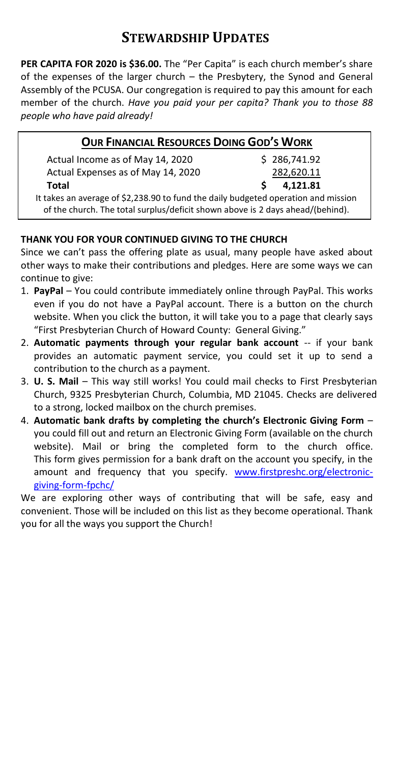## **STEWARDSHIP UPDATES**

**PER CAPITA FOR 2020 is \$36.00.** The "Per Capita" is each church member's share of the expenses of the larger church – the Presbytery, the Synod and General Assembly of the PCUSA. Our congregation is required to pay this amount for each member of the church. *Have you paid your per capita? Thank you to those 88 people who have paid already!*

|--|

Actual Income as of May 14, 2020  $\frac{1}{5}$  286,741.92 Actual Expenses as of May 14, 2020 282,620.11 **Total \$ 4,121.81**

It takes an average of \$2,238.90 to fund the daily budgeted operation and mission of the church. The total surplus/deficit shown above is 2 days ahead/(behind).

## **THANK YOU FOR YOUR CONTINUED GIVING TO THE CHURCH**

Since we can't pass the offering plate as usual, many people have asked about other ways to make their contributions and pledges. Here are some ways we can continue to give:

- 1. **PayPal** You could contribute immediately online through PayPal. This works even if you do not have a PayPal account. There is a button on the church website. When you click the button, it will take you to a page that clearly says "First Presbyterian Church of Howard County: General Giving."
- 2. **Automatic payments through your regular bank account** -- if your bank provides an automatic payment service, you could set it up to send a contribution to the church as a payment.
- 3. **U. S. Mail** This way still works! You could mail checks to First Presbyterian Church, 9325 Presbyterian Church, Columbia, MD 21045. Checks are delivered to a strong, locked mailbox on the church premises.
- 4. **Automatic bank drafts by completing the church's Electronic Giving Form** you could fill out and return an Electronic Giving Form (available on the church website). Mail or bring the completed form to the church office. This form gives permission for a bank draft on the account you specify, in the amount and frequency that you specify. [www.firstpreshc.org/electronic](http://www.firstpreshc.org/electronic-giving-form-fpchc/)[giving-form-fpchc/](http://www.firstpreshc.org/electronic-giving-form-fpchc/)

We are exploring other ways of contributing that will be safe, easy and convenient. Those will be included on this list as they become operational. Thank you for all the ways you support the Church!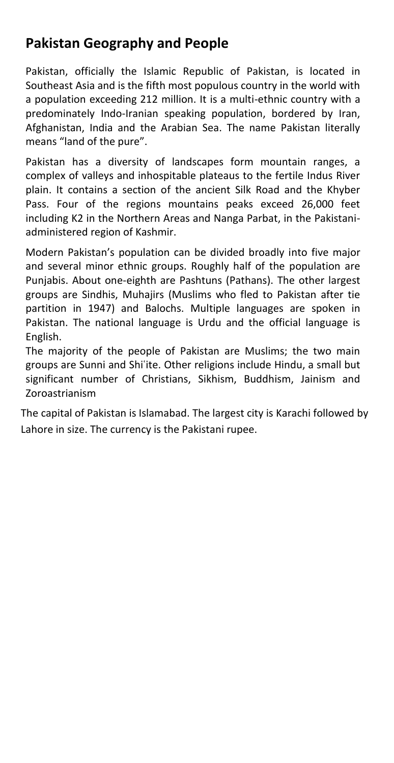# **Pakistan Geography and People**

Pakistan, officially the Islamic Republic of Pakistan, is located in Southeast Asia and is the fifth most populous country in the world with a population exceeding 212 million. It is a multi-ethnic country with a predominately Indo-Iranian speaking population, bordered by Iran, Afghanistan, India and the Arabian Sea. The name Pakistan literally means "land of the pure".

Pakistan has a diversity of landscapes form mountain ranges, a complex of valleys and inhospitable plateaus to the fertile Indus River plain. It contains a section of the ancient Silk Road and the Khyber Pass. Four of the regions mountains peaks exceed 26,000 feet including K2 in the Northern Areas and Nanga Parbat, in the Pakistaniadministered region of Kashmir.

Modern Pakistan's population can be divided broadly into five major and several minor ethnic groups. Roughly half of the population are Punjabis. About one-eighth are Pashtuns (Pathans). The other largest groups are Sindhis, Muhajirs (Muslims who fled to Pakistan after tie partition in 1947) and Balochs. Multiple languages are spoken in Pakistan. The national language is Urdu and the official language is English.

The majority of the people of Pakistan are Muslims; the two main groups are Sunni and Shiʿite. Other religions include Hindu, a small but significant number of Christians, Sikhism, Buddhism, Jainism and Zoroastrianism

The capital of Pakistan is Islamabad. The largest city is Karachi followed by Lahore in size. The currency is the Pakistani rupee.